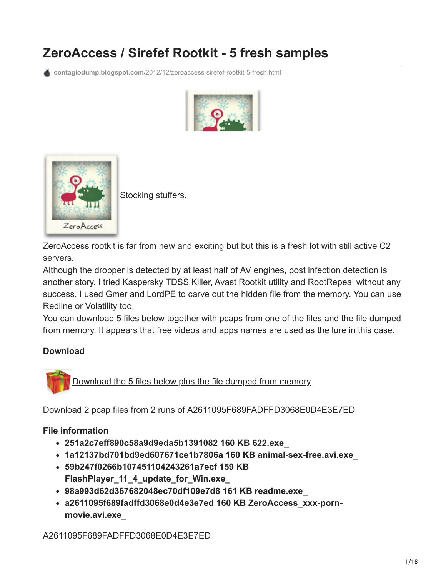# **ZeroAccess / Sirefef Rootkit - 5 fresh samples**

**contagiodump.blogspot.com**[/2012/12/zeroaccess-sirefef-rootkit-5-fresh.html](http://contagiodump.blogspot.com/2012/12/zeroaccess-sirefef-rootkit-5-fresh.html)





[S](http://4.bp.blogspot.com/-ULOBRiVgAME/UNqTNEYDhTI/AAAAAAAAGSc/klxF_N1Lo9c/s1600/za.PNG)tocking stuffers.

ZeroAccess rootkit is far from new and exciting but but this is a fresh lot with still active C2 servers.

Although the dropper is detected by at least half of AV engines, post infection detection is another story. I tried Kaspersky TDSS Killer, Avast Rootkit utility and RootRepeal without any success. I used Gmer and LordPE to carve out the hidden file from the memory. You can use Redline or Volatility too.

You can download 5 files below together with pcaps from one of the files and the file dumped from memory. It appears that free videos and apps names are used as the lure in this case.

#### **Download**

[Download the 5 files below plus the file dumped from memory](http://www.mediafire.com/?9n85ecfvy47g2xz)

[Download 2 pcap files from 2 runs of A2611095F689FADFFD3068E0D4E3E7ED](http://www.mediafire.com/?1ff8oqu4cl989uy)

#### **File information**

- **251a2c7eff890c58a9d9eda5b1391082 160 KB 622.exe\_**
- **1a12137bd701bd9ed607671ce1b7806a 160 KB animal-sex-free.avi.exe\_**
- **59b247f0266b107451104243261a7ecf 159 KB FlashPlayer\_11\_4\_update\_for\_Win.exe\_**
- **98a993d62d367682048ec70df109e7d8 161 KB readme.exe\_**
- **a2611095f689fadffd3068e0d4e3e7ed 160 KB ZeroAccess\_xxx-pornmovie.avi.exe\_**

A2611095F689FADFFD3068E0D4E3E7ED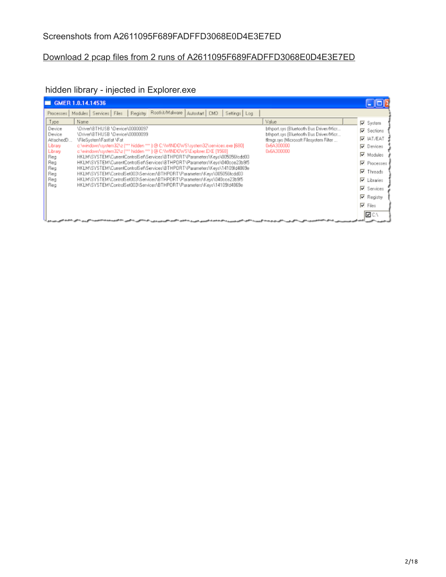### Screenshots from A2611095F689FADFFD3068E0D4E3E7ED

#### [Download 2 pcap files from 2 runs of A2611095F689FADFFD3068E0D4E3E7ED](http://www.mediafire.com/?1ff8oqu4cl989uy)

## hidden library - injected in Explorer.exe

| GMER 1.0.14.14536                                                                                                                                                                                                                                                                                                                                                                                                                                                                                                                                                                                                                                                                                                                                                                                                                                                                                                                                                                                                                     |                                                                                                                                                                                                                     |
|---------------------------------------------------------------------------------------------------------------------------------------------------------------------------------------------------------------------------------------------------------------------------------------------------------------------------------------------------------------------------------------------------------------------------------------------------------------------------------------------------------------------------------------------------------------------------------------------------------------------------------------------------------------------------------------------------------------------------------------------------------------------------------------------------------------------------------------------------------------------------------------------------------------------------------------------------------------------------------------------------------------------------------------|---------------------------------------------------------------------------------------------------------------------------------------------------------------------------------------------------------------------|
| Registry Rootkit/Malware<br>Modules Services Files<br>Autostart   CMD<br>Settings Log<br>Processes                                                                                                                                                                                                                                                                                                                                                                                                                                                                                                                                                                                                                                                                                                                                                                                                                                                                                                                                    |                                                                                                                                                                                                                     |
| Value<br>Type<br>Name<br>Device<br>\Driver\BTHUSB \Device\00000097<br>bthport.sys (Bluetooth Bus Driver/Micr<br>\Driver\BTHUSB \Device\00000099<br>bthport.sys [Bluetooth Bus Driver/Micr<br>Device<br>VFileSystem\Fastfat \Fat<br>filtmgr.sys (Microsoft Filesystem Filter<br>AttachedD<br>c://windows/system32/\z (*** hidden *** ) @ C://WINDOWS/system32/services.exe [680]<br>0x64300000<br>Library<br>c:\windows\system32\z [fff hidden ??? ] @ C:\WINDOWS\Explorer.EXE [1568]<br>0x64300000<br>Library<br>HKLM\SYSTEM\CurrentControlSet\Services\BTHPORT\Parameters\Kevs\005056fcdd03<br>Reg<br>HKLM\SYSTEM\CurrentControlSet\Services\BTHPORT\Parameters\Keys\040cce23b9f5<br>Reg<br>HKLM\SYSTEM\CurrentControlSet\Services\BTHPORT\Parameters\Keys\14109fd4869e<br>Reg<br>HKLM\SYSTEM\ControlSet003\Services\BTHPORT\Parameters\Keys\005056fcdd03<br>Reg<br>HKLM\SYSTEM\ControlSet003\Services\BTHPORT\Parameters\Keys\040cce23b9f5<br>Reg<br>HKLM\SYSTEM\ControlSet003\Services\BTHPORT\Parameters\Keys\14109id4869e<br>Reg | <b>▽</b> System<br>Sections<br><b>V</b> IAT/EAT<br>Devices<br>Modules<br><b>▽</b> Processes<br>$\overline{\triangledown}$ Threads<br><b>▽</b> Libraties<br>Services<br><b>▽</b> Registry<br>$\nabla$ Files<br>אם ⊠ו |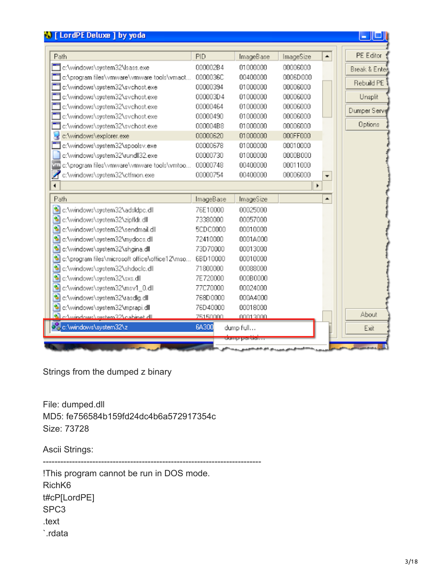| Path                                           | PID       | ImageBase | ImageSize             | ▲                        | PE Editor     |
|------------------------------------------------|-----------|-----------|-----------------------|--------------------------|---------------|
| c:\windows\system32\lsass.exe                  | 000002B4  | 01000000  | 00006000              |                          | Break & Enter |
| c:\program files\wmware\wmware tools\wmact     | 0000036C  | 00400000  | 0006D000              |                          |               |
| c:\windows\system32\svchost.exe                | 00000394  | 01000000  | 00006000              |                          | Rebuild PE    |
| c:\windows\system32\svchost.exe                | 000003D4  | 01000000  | 00006000              |                          | Unsplit       |
| c:\windows\system32\svchost.exe                | 00000464  | 01000000  | 00006000              |                          |               |
| c:\windows\system32\svchost.exe                | 00000490  | 01000000  | 00006000              |                          | Dumper Serve  |
| c:\windows\system32\svchost.exe                | 000004B8  | 01000000  | 00006000              |                          | Options       |
| c:\windows\explorer.exe                        | 00000620  | 01000000  | 000FF000              |                          |               |
| c:\windows\system32\spoolsv.exe                | 00000678  | 01000000  | 00010000              |                          |               |
| c:\windows\system32\rundll32.exe               | 00000730  | 01000000  | 0000B000              |                          |               |
| vm c:\program files\vmware\vmware tools\vmtoo  | 00000748  | 00400000  | 00011000              |                          |               |
| c:\windows\system32\ctfmon.exe                 | 00000754  | 00400000  | 00006000              | $\overline{\phantom{a}}$ |               |
|                                                |           |           | $\blacktriangleright$ |                          |               |
| Path                                           | ImageBase | ImageSize |                       |                          |               |
| ۹<br>c:\windows\system32\adsldpc.dll           | 76E10000  | 00025000  |                       |                          |               |
| S<br>c:\windows\system32\zipfldr.dll           | 73380000  | 00057000  |                       |                          |               |
| S<br>c:\windows\system32\sendmail.dll          | 5CDC0000  | 00010000  |                       |                          |               |
| S<br>c:\windows\system32\mydocs.dll            | 72410000  | 0001A000  |                       |                          |               |
| ٩<br>c:\windows\system32\shgina.dll            | 73D70000  | 00013000  |                       |                          |               |
| c:\program files\microsoft office\office12\mso | 6BD10000  | 00010000  |                       |                          |               |
| S<br>c:\windows\system32\shdoclc.dll           | 71800000  | 00088000  |                       |                          |               |
| C:\windows\system32\sxs.dll                    | 7E720000  | 000B0000  |                       |                          |               |
| S<br>c:\windows\system32\msv1_0.dll            | 77C70000  | 00024000  |                       |                          |               |
| S<br>c:\windows\system32\rasdlg.dll            | 768D0000  | 000A4000  |                       |                          |               |
| s<br>c:\windows\system32\mprapi.dll            | 76D40000  | 00018000  |                       |                          |               |
| http://www.destate.com/annibair.com            | 75150000  | 00013000  |                       |                          | About         |
| os c:\windows\system32\z                       | 6A300     | dump full |                       |                          | Exit          |

Strings from the dumped z binary

File: dumped.dll MD5: fe756584b159fd24dc4b6a572917354c Size: 73728

Ascii Strings:

--------------------------------------------------------------------------- !This program cannot be run in DOS mode. RichK6 t#cP[LordPE] SPC3 .text `.rdata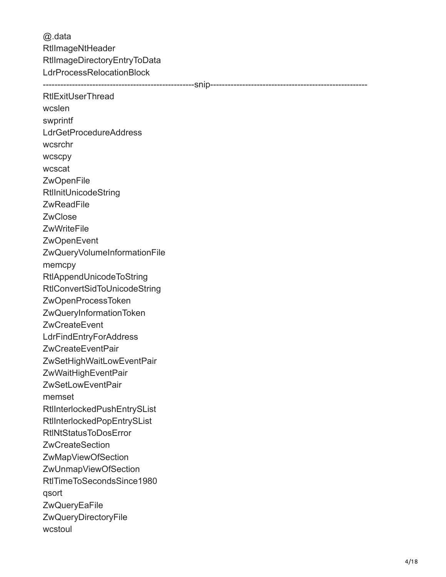@.data RtlImageNtHeader RtlImageDirectoryEntryToData LdrProcessRelocationBlock ----------------------------------------------------snip------------------------------------------------------ **RtlExitUserThread** wcslen swprintf LdrGetProcedureAddress wcsrchr **wcscpy** wcscat **ZwOpenFile** RtlInitUnicodeString **ZwReadFile ZwClose ZwWriteFile ZwOpenEvent** ZwQueryVolumeInformationFile memcpy RtlAppendUnicodeToString RtlConvertSidToUnicodeString ZwOpenProcessToken ZwQueryInformationToken ZwCreateEvent **LdrFindEntryForAddress** ZwCreateEventPair ZwSetHighWaitLowEventPair ZwWaitHighEventPair ZwSetLowEventPair memset RtlInterlockedPushEntrySList RtlInterlockedPopEntrySList RtlNtStatusToDosError **ZwCreateSection** ZwMapViewOfSection ZwUnmapViewOfSection RtlTimeToSecondsSince1980 qsort **ZwQueryEaFile** ZwQueryDirectoryFile wcstoul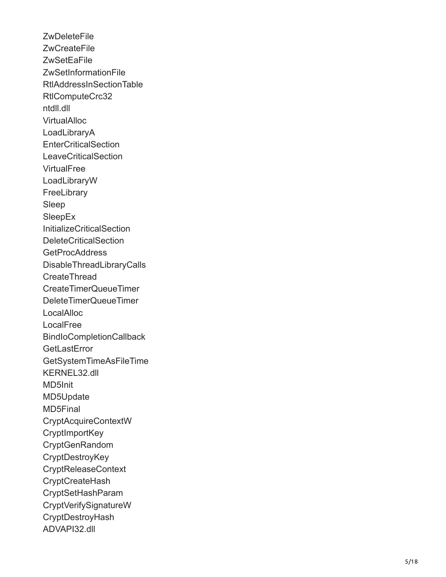**ZwDeleteFile** ZwCreateFile **ZwSetEaFile** ZwSetInformationFile RtlAddressInSectionTable RtlComputeCrc32 ntdll.dll **VirtualAlloc** LoadLibraryA **EnterCriticalSection LeaveCriticalSection VirtualFree** LoadLibraryW **FreeLibrary** Sleep SleepEx InitializeCriticalSection DeleteCriticalSection GetProcAddress DisableThreadLibraryCalls **CreateThread** CreateTimerQueueTimer DeleteTimerQueueTimer **LocalAlloc** LocalFree BindIoCompletionCallback **GetLastError** GetSystemTimeAsFileTime KERNEL32.dll MD5Init MD5Update MD5Final CryptAcquireContextW **CryptImportKey** CryptGenRandom **CryptDestroyKey** CryptReleaseContext **CryptCreateHash** CryptSetHashParam CryptVerifySignatureW **CryptDestroyHash** ADVAPI32.dll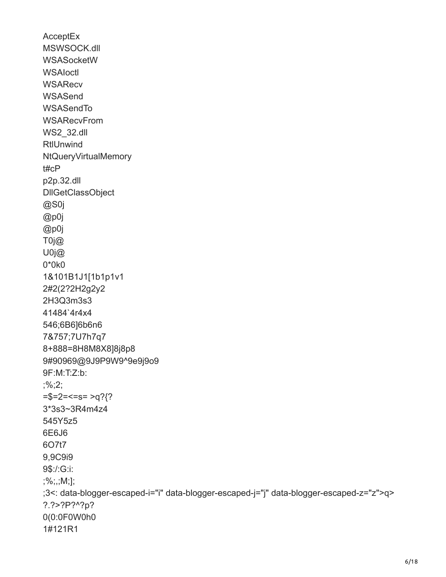**AcceptEx** MSWSOCK.dll WSASocketW **WSAloctl WSARecv WSASend** WSASendTo **WSARecvFrom** WS2\_32.dll **RtlUnwind** NtQueryVirtualMemory t#cP p2p.32.dll DllGetClassObject @S0j @p0j @p0j T0j@ U0j@ 0\*0k0 1&101B1J1[1b1p1v1 2#2(2?2H2g2y2 2H3Q3m3s3 41484`4r4x4 546;6B6]6b6n6 7&757;7U7h7q7 8+888=8H8M8X8]8j8p8 9#90969@9J9P9W9^9e9j9o9 9F:M:T:Z:b: ;%;2;  $=\frac{1}{2}$ =2=<=s= >q?{? 3\*3s3~3R4m4z4 545Y5z5 6E6J6 6O7t7 9,9C9i9 9\$:/:G:i: ;%;,;M;]; ;3<: data-blogger-escaped-i="i" data-blogger-escaped-j="j" data-blogger-escaped-z="z">q> ?.?>?P?^?p? 0(0:0F0W0h0 1#121R1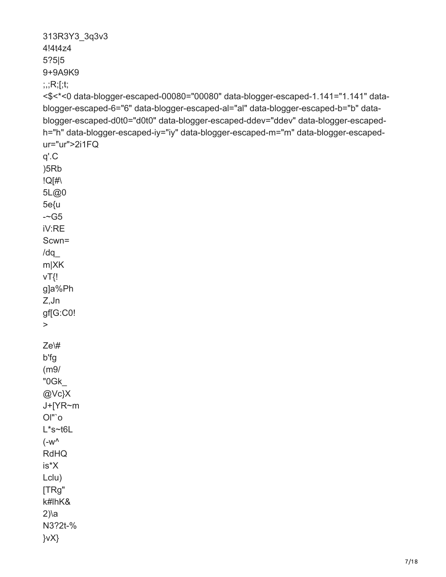```
313R3Y3_3q3v3
4!4t4z4
5?5|5
9+9A9K9
;;;R;[;t;
<$<*<0 data-blogger-escaped-00080="00080" data-blogger-escaped-1.141="1.141" data-
blogger-escaped-6="6" data-blogger-escaped-al="al" data-blogger-escaped-b="b" data-
blogger-escaped-d0t0="d0t0" data-blogger-escaped-ddev="ddev" data-blogger-escaped-
h="h" data-blogger-escaped-iy="iy" data-blogger-escaped-m="m" data-blogger-escaped-
ur="ur">2i1FQ
q'.C
)5Rb
!Q[#\
5L@0
5e{u
--G5iV:RE
Scwn=
/dq_
m|XK
vT{!
g]a%Ph
Z,Jn
gf[G:C0!
>
Ze\#
b'fg
(m9/
"0Gk_
@Vc}X
J+[YR~m
Ol"`o
L*s~t6L
(-w^{\wedge})RdHQ
is*X
Lclu)
[TRg"
k#lhK&
2)\a
N3?2t-%
}vX}
```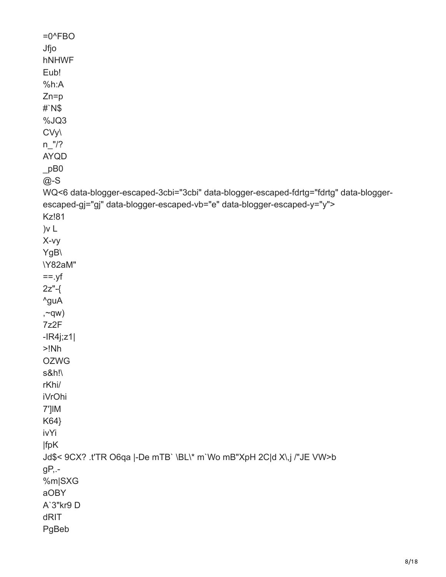| $=0$ <sup><math>\wedge</math>FBO</sup>                                                 |
|----------------------------------------------------------------------------------------|
| Jfjo                                                                                   |
| hNHWF                                                                                  |
| Eub!                                                                                   |
| %h:A                                                                                   |
| $Zn=p$                                                                                 |
| #N\$                                                                                   |
| %JQ3                                                                                   |
| CVy\                                                                                   |
| $n_{1}/?$                                                                              |
| <b>AYQD</b>                                                                            |
| pB0                                                                                    |
| $@$ -S                                                                                 |
| WQ<6 data-blogger-escaped-3cbi="3cbi" data-blogger-escaped-fdrtg="fdrtg" data-blogger- |
| escaped-gj="gj" data-blogger-escaped-vb="e" data-blogger-escaped-y="y">                |
| <b>Kz!81</b>                                                                           |
| )v L                                                                                   |
| X-vy                                                                                   |
| YgB\                                                                                   |
| \Y82aM"                                                                                |
| $==.yf$                                                                                |
| $2z$ "-{                                                                               |
| ^guA                                                                                   |
| $, \sim qw)$                                                                           |
| 7z2F                                                                                   |
| $-IR4j;z1$                                                                             |
| >!Nh                                                                                   |
| <b>OZWG</b>                                                                            |
| s&h!\                                                                                  |
| rKhi/                                                                                  |
| <b>iVrOhi</b>                                                                          |
| 7']IM                                                                                  |
| K64}                                                                                   |
| ivYi                                                                                   |
| fpK                                                                                    |
| Jd\$< 9CX? .t'TR O6qa  -De mTB` \BL\* m`Wo mB"XpH 2C d X\,j /"JE VW>b                  |
| gP,.-                                                                                  |
| %m SXG                                                                                 |
| aOBY                                                                                   |
| A'3"kr9 D                                                                              |
| dRIT                                                                                   |
| PgBeb                                                                                  |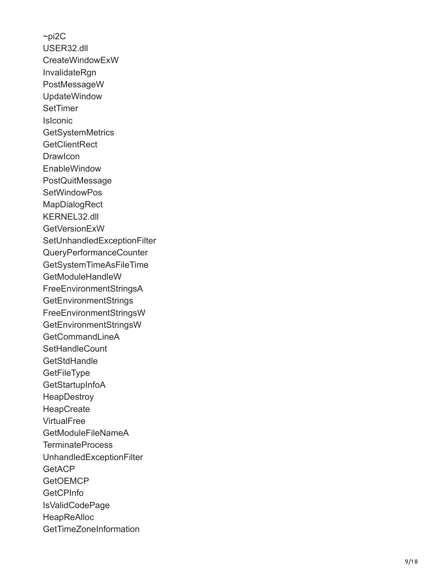$\neg$ pi2C USER32.dll CreateWindowExW InvalidateRgn PostMessageW UpdateWindow **SetTimer** IsIconic **GetSystemMetrics GetClientRect DrawIcon EnableWindow** PostQuitMessage **SetWindowPos MapDialogRect** KERNEL32.dll **GetVersionExW** SetUnhandledExceptionFilter QueryPerformanceCounter GetSystemTimeAsFileTime GetModuleHandleW FreeEnvironmentStringsA **GetEnvironmentStrings** FreeEnvironmentStringsW GetEnvironmentStringsW GetCommandLineA **SetHandleCount GetStdHandle GetFileType GetStartupInfoA HeapDestroy HeapCreate VirtualFree** GetModuleFileNameA TerminateProcess UnhandledExceptionFilter **GetACP GetOEMCP GetCPInfo** IsValidCodePage **HeapReAlloc GetTimeZoneInformation**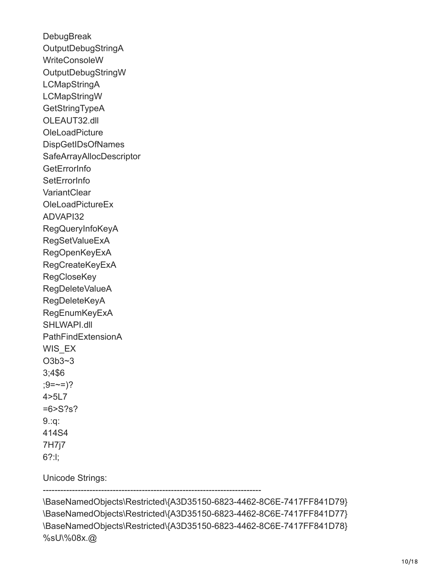**DebugBreak** OutputDebugStringA WriteConsoleW OutputDebugStringW **LCMapStringA** LCMapStringW **GetStringTypeA** OLEAUT32.dll **OleLoadPicture** DispGetIDsOfNames SafeArrayAllocDescriptor **GetErrorInfo SetErrorInfo VariantClear** OleLoadPictureEx ADVAPI32 RegQueryInfoKeyA RegSetValueExA RegOpenKeyExA RegCreateKeyExA **RegCloseKey** RegDeleteValueA RegDeleteKeyA RegEnumKeyExA SHLWAPI.dll PathFindExtensionA WIS EX O3b3~3 3;4\$6  $(9=-5)$ ? 4>5L7 =6>S?s? 9.:q: 414S4 7H7j7 6?:l;

Unicode Strings:

---------------------------------------------------------------------------

\BaseNamedObjects\Restricted\{A3D35150-6823-4462-8C6E-7417FF841D79} \BaseNamedObjects\Restricted\{A3D35150-6823-4462-8C6E-7417FF841D77} \BaseNamedObjects\Restricted\{A3D35150-6823-4462-8C6E-7417FF841D78} %sU\%08x.@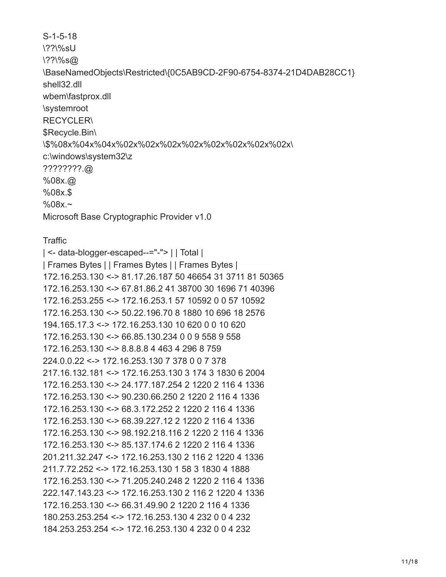S-1-5-18 \??\%sU \??\%s@ \BaseNamedObjects\Restricted\{0C5AB9CD-2F90-6754-8374-21D4DAB28CC1} shell32.dll wbem\fastprox.dll \systemroot RECYCLER\ \$Recycle.Bin\ \\$%08x%04x%04x%02x%02x%02x%02x%02x%02x%02x%02x\ c:\windows\system32\z ????????.@ %08x.@ %08x.\$ %08x.~ Microsoft Base Cryptographic Provider v1.0

#### **Traffic**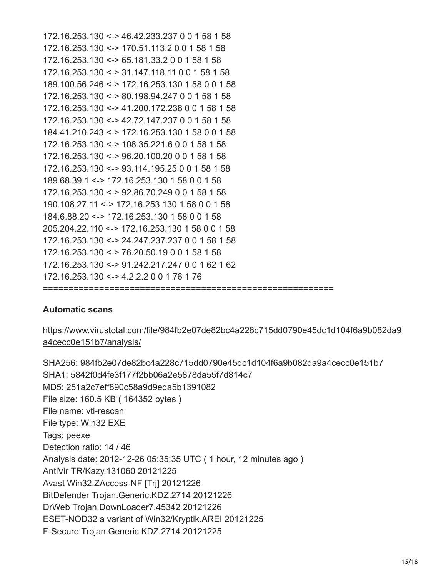172.16.253.130 <-> 46.42.233.237 0 0 1 58 1 58 172.16.253.130 <-> 170.51.113.2 0 0 1 58 1 58 172.16.253.130 <-> 65.181.33.2 0 0 1 58 1 58 172.16.253.130 <-> 31.147.118.11 0 0 1 58 1 58 189.100.56.246 <-> 172.16.253.130 1 58 0 0 1 58 172.16.253.130 <-> 80.198.94.247 0 0 1 58 1 58 172.16.253.130 <-> 41.200.172.238 0 0 1 58 1 58 172.16.253.130 <-> 42.72.147.237 0 0 1 58 1 58 184.41.210.243 <-> 172.16.253.130 1 58 0 0 1 58 172.16.253.130 <-> 108.35.221.6 0 0 1 58 1 58 172.16.253.130 <-> 96.20.100.20 0 0 1 58 1 58 172.16.253.130 <-> 93.114.195.25 0 0 1 58 1 58 189.68.39.1 <-> 172.16.253.130 1 58 0 0 1 58 172.16.253.130 <-> 92.86.70.249 0 0 1 58 1 58 190.108.27.11 <-> 172.16.253.130 1 58 0 0 1 58 184.6.88.20 <-> 172.16.253.130 1 58 0 0 1 58 205.204.22.110 <-> 172.16.253.130 1 58 0 0 1 58 172.16.253.130 <-> 24.247.237.237 0 0 1 58 1 58 172.16.253.130 <-> 76.20.50.19 0 0 1 58 1 58 172.16.253.130 <-> 91.242.217.247 0 0 1 62 1 62 172.16.253.130 <-> 4.2.2.2 0 0 1 76 1 76 =========================================================

#### **Automatic scans**

[https://www.virustotal.com/file/984fb2e07de82bc4a228c715dd0790e45dc1d104f6a9b082da9](https://www.virustotal.com/file/984fb2e07de82bc4a228c715dd0790e45dc1d104f6a9b082da9a4cecc0e151b7/analysis/) a4cecc0e151b7/analysis/

SHA256: 984fb2e07de82bc4a228c715dd0790e45dc1d104f6a9b082da9a4cecc0e151b7 SHA1: 5842f0d4fe3f177f2bb06a2e5878da55f7d814c7 MD5: 251a2c7eff890c58a9d9eda5b1391082 File size: 160.5 KB ( 164352 bytes ) File name: vti-rescan File type: Win32 EXE Tags: peexe Detection ratio: 14 / 46 Analysis date: 2012-12-26 05:35:35 UTC ( 1 hour, 12 minutes ago ) AntiVir TR/Kazy.131060 20121225 Avast Win32:ZAccess-NF [Trj] 20121226 BitDefender Trojan.Generic.KDZ.2714 20121226 DrWeb Trojan.DownLoader7.45342 20121226 ESET-NOD32 a variant of Win32/Kryptik.AREI 20121225 F-Secure Trojan.Generic.KDZ.2714 20121225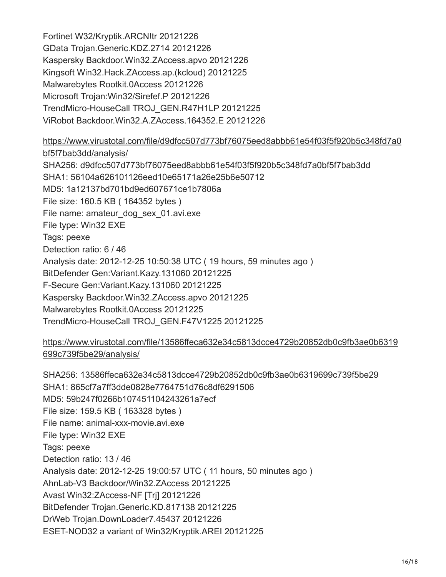Fortinet W32/Kryptik.ARCN!tr 20121226 GData Trojan.Generic.KDZ.2714 20121226 Kaspersky Backdoor.Win32.ZAccess.apvo 20121226 Kingsoft Win32.Hack.ZAccess.ap.(kcloud) 20121225 Malwarebytes Rootkit.0Access 20121226 Microsoft Trojan:Win32/Sirefef.P 20121226 TrendMicro-HouseCall TROJ\_GEN.R47H1LP 20121225 ViRobot Backdoor.Win32.A.ZAccess.164352.E 20121226

[https://www.virustotal.com/file/d9dfcc507d773bf76075eed8abbb61e54f03f5f920b5c348fd7a0](https://www.virustotal.com/file/d9dfcc507d773bf76075eed8abbb61e54f03f5f920b5c348fd7a0bf5f7bab3dd/analysis/) bf5f7bab3dd/analysis/ SHA256: d9dfcc507d773bf76075eed8abbb61e54f03f5f920b5c348fd7a0bf5f7bab3dd SHA1: 56104a626101126eed10e65171a26e25b6e50712 MD5: 1a12137bd701bd9ed607671ce1b7806a File size: 160.5 KB ( 164352 bytes ) File name: amateur dog sex 01.avi.exe File type: Win32 EXE Tags: peexe Detection ratio: 6 / 46 Analysis date: 2012-12-25 10:50:38 UTC ( 19 hours, 59 minutes ago ) BitDefender Gen:Variant.Kazy.131060 20121225 F-Secure Gen:Variant.Kazy.131060 20121225 Kaspersky Backdoor.Win32.ZAccess.apvo 20121225 Malwarebytes Rootkit.0Access 20121225 TrendMicro-HouseCall TROJ\_GEN.F47V1225 20121225

[https://www.virustotal.com/file/13586ffeca632e34c5813dcce4729b20852db0c9fb3ae0b6319](https://www.virustotal.com/file/13586ffeca632e34c5813dcce4729b20852db0c9fb3ae0b6319699c739f5be29/analysis/) 699c739f5be29/analysis/

SHA256: 13586ffeca632e34c5813dcce4729b20852db0c9fb3ae0b6319699c739f5be29 SHA1: 865cf7a7ff3dde0828e7764751d76c8df6291506 MD5: 59b247f0266b107451104243261a7ecf File size: 159.5 KB ( 163328 bytes ) File name: animal-xxx-movie.avi.exe File type: Win32 EXE Tags: peexe Detection ratio: 13 / 46 Analysis date: 2012-12-25 19:00:57 UTC ( 11 hours, 50 minutes ago ) AhnLab-V3 Backdoor/Win32.ZAccess 20121225 Avast Win32:ZAccess-NF [Trj] 20121226 BitDefender Trojan.Generic.KD.817138 20121225 DrWeb Trojan.DownLoader7.45437 20121226 ESET-NOD32 a variant of Win32/Kryptik.AREI 20121225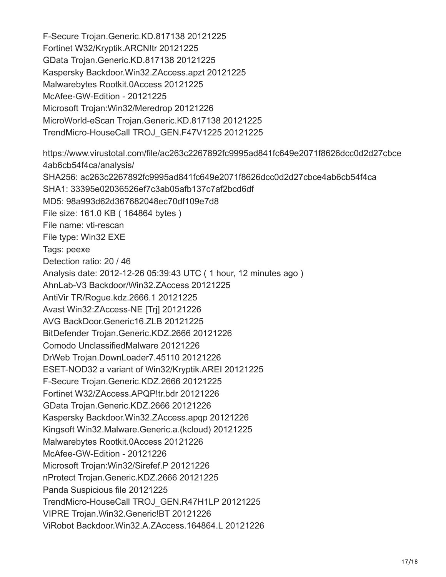F-Secure Trojan.Generic.KD.817138 20121225 Fortinet W32/Kryptik.ARCN!tr 20121225 GData Trojan.Generic.KD.817138 20121225 Kaspersky Backdoor.Win32.ZAccess.apzt 20121225 Malwarebytes Rootkit.0Access 20121225 McAfee-GW-Edition - 20121225 Microsoft Trojan:Win32/Meredrop 20121226 MicroWorld-eScan Trojan.Generic.KD.817138 20121225 TrendMicro-HouseCall TROJ\_GEN.F47V1225 20121225

[https://www.virustotal.com/file/ac263c2267892fc9995ad841fc649e2071f8626dcc0d2d27cbce](https://www.virustotal.com/file/ac263c2267892fc9995ad841fc649e2071f8626dcc0d2d27cbce4ab6cb54f4ca/analysis/) 4ab6cb54f4ca/analysis/ SHA256: ac263c2267892fc9995ad841fc649e2071f8626dcc0d2d27cbce4ab6cb54f4ca SHA1: 33395e02036526ef7c3ab05afb137c7af2bcd6df MD5: 98a993d62d367682048ec70df109e7d8 File size: 161.0 KB ( 164864 bytes ) File name: vti-rescan File type: Win32 EXE Tags: peexe Detection ratio: 20 / 46 Analysis date: 2012-12-26 05:39:43 UTC ( 1 hour, 12 minutes ago ) AhnLab-V3 Backdoor/Win32.ZAccess 20121225 AntiVir TR/Rogue.kdz.2666.1 20121225 Avast Win32:ZAccess-NE [Trj] 20121226 AVG BackDoor.Generic16.ZLB 20121225 BitDefender Trojan.Generic.KDZ.2666 20121226 Comodo UnclassifiedMalware 20121226 DrWeb Trojan.DownLoader7.45110 20121226 ESET-NOD32 a variant of Win32/Kryptik.AREI 20121225 F-Secure Trojan.Generic.KDZ.2666 20121225 Fortinet W32/ZAccess.APQP!tr.bdr 20121226 GData Trojan.Generic.KDZ.2666 20121226 Kaspersky Backdoor.Win32.ZAccess.apqp 20121226 Kingsoft Win32.Malware.Generic.a.(kcloud) 20121225 Malwarebytes Rootkit.0Access 20121226 McAfee-GW-Edition - 20121226 Microsoft Trojan:Win32/Sirefef.P 20121226 nProtect Trojan.Generic.KDZ.2666 20121225 Panda Suspicious file 20121225 TrendMicro-HouseCall TROJ\_GEN.R47H1LP 20121225 VIPRE Trojan.Win32.Generic!BT 20121226 ViRobot Backdoor.Win32.A.ZAccess.164864.L 20121226